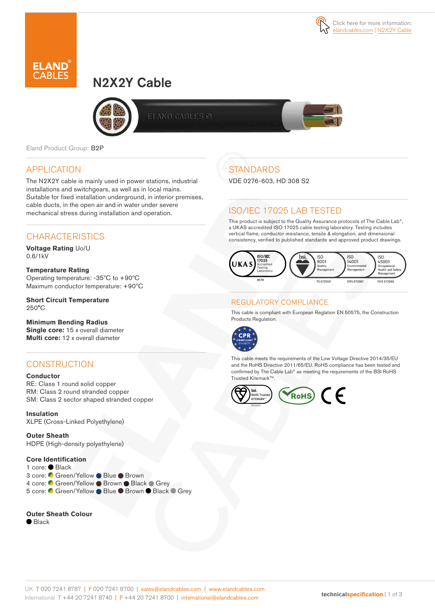

# N2X2Y Cable



ELAND GABLES Ø

Eland Product Group: B2P

### APPLICATION

The N2X2Y cable is mainly used in power stations, industrial installations and switchgears, as well as in local mains. Suitable for fixed installation underground, in interior premises, cable ducts, in the open air and in water under severe mechanical stress during installation and operation.

### **CHARACTERISTICS**

**Voltage Rating** Uo/U 0.6/1kV

**Temperature Rating**  Operating temperature: -35ºC to +90ºC Maximum conductor temperature: +90ºC

**Short Circuit Temperature**  250°C

#### **Minimum Bending Radius**

**Single core:** 15 x overall diameter **Multi core:** 12 x overall diameter

### **CONSTRUCTION**

#### **Conductor**

RE: Class 1 round solid copper RM: Class 2 round stranded copper SM: Class 2 sector shaped stranded copper

**Insulation** XLPE (Cross-Linked Polyethylene)

**Outer Sheath** HDPE (High-density polyethylene)

**Core Identification** 1 core: Black 3 core: C Green/Yellow ● Blue ● Brown 4 core: Green/Yellow Brown Black Grey 5 core: C Green/Yellow ● Blue ● Brown ● Black ● Grey

#### **Outer Sheath Colour**

 $\bullet$  Black

## **STANDARDS**

VDE 0276-603, HD 308 S2

### ISO/IEC 17025 LAB TESTED

This product is subject to the Quality Assurance protocols of The Cable Lab®, a UKAS accredited ISO 17025 cable testing laboratory. Testing includes vertical flame, conductor resistance, tensile & elongation, and dimensional consistency, verified to published standards and approved product drawings.



### REGULATORY COMPLIANCE

This cable is compliant with European Reglation EN 50575, the Construction Products Regulation.



This cable meets the requirements of the Low Voltage Directive 2014/35/EU and the RoHS Directive 2011/65/EU. RoHS compliance has been tested and confirmed by The Cable Lab® as meeting the requirements of the BSI RoHS Trusted Kitemark™.

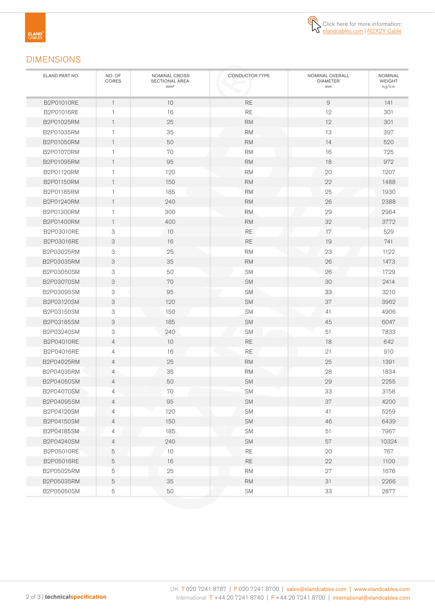

### DIMENSIONS

| ELAND PART NO. | NO. OF<br>CORES | NOMINAL CROSS<br>SECTIONAL AREA<br>mm <sup>2</sup> | <b>CONDUCTOR TYPE</b> | NOMINAL OVERALL<br><b>DIAMETER</b><br>mm | <b>NOMINAL</b><br><b>WEIGHT</b><br>kg/km |
|----------------|-----------------|----------------------------------------------------|-----------------------|------------------------------------------|------------------------------------------|
| B2P01010RE     | $\mathbf{1}$    | 10                                                 | <b>RE</b>             | 9                                        | 141                                      |
| B2P01016RE     | $\mathbf{1}$    | 16                                                 | <b>RE</b>             | 12                                       | 301                                      |
| B2P01025RM     | $\mathbf{1}$    | 25                                                 | <b>RM</b>             | 12                                       | 301                                      |
| B2P01035RM     | 1               | 35                                                 | <b>RM</b>             | 13                                       | 397                                      |
| B2P01050RM     | $\mathbf{1}$    | 50                                                 | <b>RM</b>             | 14                                       | 520                                      |
| B2P01070RM     | 1               | 70                                                 | <b>RM</b>             | 16                                       | 725                                      |
| B2P01095RM     | $\mathbf{1}$    | 95                                                 | <b>RM</b>             | 18                                       | 972                                      |
| B2P01120RM     | 1               | 120                                                | <b>RM</b>             | 20                                       | 1207                                     |
| B2P01150RM     | $\mathbf{1}$    | 150                                                | <b>RM</b>             | 22                                       | 1488                                     |
| B2P01185RM     | 1               | 185                                                | <b>RM</b>             | 25                                       | 1930                                     |
| B2P01240RM     | $\mathbf{1}$    | 240                                                | <b>RM</b>             | 26                                       | 2388                                     |
| B2P01300RM     | 1               | 300                                                | <b>RM</b>             | 29                                       | 2964                                     |
| B2P01400RM     | $\mathbf{1}$    | 400                                                | <b>RM</b>             | 32                                       | 3772                                     |
| B2P03010RE     | 3               | 10                                                 | <b>RE</b>             | 17                                       | 529                                      |
| B2P03016RE     | 3               | 16                                                 | <b>RE</b>             | 19                                       | 741                                      |
| B2P03025RM     | 3               | 25                                                 | <b>RM</b>             | 23                                       | 1122                                     |
| B2P03035RM     | 3               | 35                                                 | <b>RM</b>             | 26                                       | 1473                                     |
| B2P03050SM     | 3               | 50                                                 | <b>SM</b>             | 26                                       | 1729                                     |
| B2P03070SM     | 3               | 70                                                 | <b>SM</b>             | 30                                       | 2414                                     |
| B2P03095SM     | 3               | 95                                                 | <b>SM</b>             | 33                                       | 3210                                     |
| B2P03120SM     | 3               | 120                                                | SM                    | 37                                       | 3962                                     |
| B2P03150SM     | 3               | 150                                                | <b>SM</b>             | 41                                       | 4906                                     |
| B2P03185SM     | 3               | 185                                                | <b>SM</b>             | 45                                       | 6047                                     |
| B2P03240SM     | 3               | 240                                                | <b>SM</b>             | 51                                       | 7833                                     |
| B2P04010RE     | $\overline{4}$  | 10                                                 | <b>RE</b>             | 18                                       | 642                                      |
| B2P04016RE     | $\overline{4}$  | 16                                                 | RE                    | 21                                       | 910                                      |
| B2P04025RM     | $\overline{4}$  | 25                                                 | <b>RM</b>             | 25                                       | 1391                                     |
| B2P04035RM     | 4               | 35                                                 | <b>RM</b>             | 28                                       | 1834                                     |
| B2P04050SM     | 4               | 50                                                 | SM                    | 29                                       | 2255                                     |
| B2P04070SM     | 4               | 70                                                 | <b>SM</b>             | 33                                       | 3158                                     |
| B2P04095SM     | 4               | 95                                                 | <b>SM</b>             | 37                                       | 4200                                     |
| B2P04120SM     | 4               | 120                                                | SM                    | 41                                       | 5259                                     |
| B2P04150SM     | $\overline{4}$  | 150                                                | SM                    | 46                                       | 6439                                     |
| B2P04185SM     | 4               | 185                                                | SM                    | 51                                       | 7967                                     |
| B2P04240SM     | 4               | 240                                                | SM                    | 57                                       | 10324                                    |
| B2P05010RE     | 5               | 10                                                 | $\mathsf{RE}$         | 20                                       | 767                                      |
| B2P05016RE     | 5               | 16                                                 | <b>RE</b>             | 22                                       | 1100                                     |
| B2P05025RM     | 5               | 25                                                 | <b>RM</b>             | 27                                       | 1676                                     |
| B2P05035RM     | 5               | 35                                                 | $\mathsf{RM}$         | 31                                       | 2266                                     |
| B2P05050SM     | 5               | 50                                                 | <b>SM</b>             | 33                                       | 2877                                     |
|                |                 |                                                    |                       |                                          |                                          |